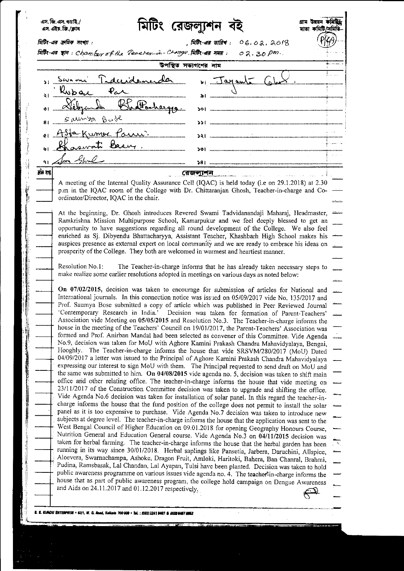|          |                                                                                                                                                                                              |                                                               | মিটিং রেজল্যুশন বই   |                               |                                                                                                                                                                                                            | মাতা কমিটি/সমিতি |
|----------|----------------------------------------------------------------------------------------------------------------------------------------------------------------------------------------------|---------------------------------------------------------------|----------------------|-------------------------------|------------------------------------------------------------------------------------------------------------------------------------------------------------------------------------------------------------|------------------|
|          | মিটিং-এর ক্রমিক সংখ্যা                                                                                                                                                                       | মিটিং-এর ছান: Chambur of the Peacher-in-Charge মিটিং-এর সময়: |                      | , মিটিং-এর তারিখ: ০৪.০৯. ৯০/৪ |                                                                                                                                                                                                            |                  |
|          |                                                                                                                                                                                              |                                                               |                      | $02.30 \, \rho m$ .           |                                                                                                                                                                                                            |                  |
|          |                                                                                                                                                                                              |                                                               | উপস্থিত সভ্যগণের নাম |                               |                                                                                                                                                                                                            |                  |
|          |                                                                                                                                                                                              | s Swami Tadeeidemender                                        |                      |                               | 4) Jayant Club                                                                                                                                                                                             |                  |
|          |                                                                                                                                                                                              |                                                               |                      |                               |                                                                                                                                                                                                            |                  |
|          |                                                                                                                                                                                              | Debyende Bhattacharya                                         |                      |                               |                                                                                                                                                                                                            |                  |
|          |                                                                                                                                                                                              |                                                               |                      |                               |                                                                                                                                                                                                            |                  |
|          |                                                                                                                                                                                              | SMm20.82                                                      |                      |                               | $\sum$ $\sum$ $\sum$ , and an anomalous component continuous components are also to $\sum$                                                                                                                 |                  |
|          |                                                                                                                                                                                              | e Asta Kumer Parni                                            |                      |                               |                                                                                                                                                                                                            |                  |
|          |                                                                                                                                                                                              | <u>o Chaswati Basiy</u>                                       |                      |                               |                                                                                                                                                                                                            |                  |
| 91.      |                                                                                                                                                                                              |                                                               |                      |                               |                                                                                                                                                                                                            |                  |
| र्मन रहा |                                                                                                                                                                                              |                                                               | <u>রেজল্যশন</u>      |                               |                                                                                                                                                                                                            |                  |
|          |                                                                                                                                                                                              |                                                               |                      |                               | A meeting of the Internal Quality Assurance Cell (IQAC) is held today (i.e on 29.1.2018) at 2.30                                                                                                           |                  |
|          |                                                                                                                                                                                              |                                                               |                      |                               | p.m in the IQAC room of the College with Dr. Chittaranjan Ghosh, Teacher-in-charge and Co-                                                                                                                 |                  |
|          | ordinator/Director, IQAC in the chair.                                                                                                                                                       |                                                               |                      |                               |                                                                                                                                                                                                            |                  |
|          |                                                                                                                                                                                              |                                                               |                      |                               | At the beginning, Dr. Ghosh introduces Revered Swami Tadvidanandaji Maharaj, Headmaster,                                                                                                                   |                  |
|          |                                                                                                                                                                                              |                                                               |                      |                               | Ramkrishna Mission Multipurpose School, Kamarpukur and we feel deeply blessed to get an<br>opportunity to have suggestions regarding all round development of the College. We also feel                    |                  |
|          |                                                                                                                                                                                              |                                                               |                      |                               | enriched as Sj. Dibyendu Bhattacharyya, Assistant Teacher, Khashbarh High School makes his                                                                                                                 |                  |
|          |                                                                                                                                                                                              |                                                               |                      |                               | auspices presence as external expert on local community and we are ready to embrace his ideas on                                                                                                           |                  |
|          | prosperity of the College. They both are welcomed in warmest and heartiest manner.                                                                                                           |                                                               |                      |                               |                                                                                                                                                                                                            |                  |
|          | Resolution No. 1:<br>The Teacher-in-charge informs that he has already taken necessary steps to<br>make realize some earlier resolutions adopted in meetings on various days as noted below: |                                                               |                      |                               |                                                                                                                                                                                                            |                  |
|          |                                                                                                                                                                                              |                                                               |                      |                               |                                                                                                                                                                                                            |                  |
|          |                                                                                                                                                                                              |                                                               |                      |                               | On 07/02/2015, decision was taken to encourage for submission of articles for National and                                                                                                                 |                  |
|          |                                                                                                                                                                                              |                                                               |                      |                               | International journals. In this connection notice was issued on 05/09/2017 vide No. 135/2017 and<br>Prof. Saumya Bose submitted a copy of article which was published in Peer Reviewed Journal             |                  |
|          |                                                                                                                                                                                              |                                                               |                      |                               | 'Contemporary Research in India.' Decision was taken for formation of Parent-Teachers'                                                                                                                     |                  |
|          |                                                                                                                                                                                              |                                                               |                      |                               | Association vide Meeting on 05/05/2015 and Resolution No.3. The Teacher-in-charge informs the<br>house in the meeting of the Teachers' Council on 19/01/2017, the Parent-Teachers' Association was         |                  |
|          |                                                                                                                                                                                              |                                                               |                      |                               | formed and Prof. Anirban Mandal had been selected as convener of this Committee. Vide Agenda                                                                                                               |                  |
|          |                                                                                                                                                                                              |                                                               |                      |                               | No.9, decision was taken for MoU with Aghore Kamini Prakash Chandra Mahavidyalaya, Bengai,<br>Hooghly. The Teacher-in-charge informs the house that vide SRSVM/280/2017 (MoU) Dated                        |                  |
|          |                                                                                                                                                                                              |                                                               |                      |                               | 04/09/2017 a letter was issued to the Principal of Aghore Kamini Prakash Chandra Mahavidyalaya                                                                                                             |                  |
|          |                                                                                                                                                                                              |                                                               |                      |                               | expressing our interest to sign MoU with them. The Principal requested to send draft on MoU and                                                                                                            |                  |
|          |                                                                                                                                                                                              |                                                               |                      |                               | the same was submitted to him. On 04/08/2015 vide agenda no. 5, decision was taken to shift main<br>office and other relating office. The teacher-in-charge informs the house that vide meeting on         |                  |
|          |                                                                                                                                                                                              |                                                               |                      |                               | 23/11/2017 of the Construction Committee decision was taken to upgrade and shifting the office.                                                                                                            |                  |
|          |                                                                                                                                                                                              |                                                               |                      |                               | Vide Agenda No.6 decision was taken for installation of solar panel. In this regard the teacher-in-<br>charge informs the house that the fund position of the college does not permit to install the solar |                  |
|          |                                                                                                                                                                                              |                                                               |                      |                               | panel as it is too expensive to purchase. Vide Agenda No.7 decision was taken to introduce new                                                                                                             |                  |
|          |                                                                                                                                                                                              |                                                               |                      |                               | subjects at degree level. The teacher-in-charge informs the house that the application was sent to the                                                                                                     |                  |
|          |                                                                                                                                                                                              |                                                               |                      |                               | West Bengal Council of Higher Education on 09.01.2018 for opening Geography Honours Course,<br>Nutrition General and Education General course. Vide Agenda No.3 on 04/11/2015 decision was                 |                  |
|          |                                                                                                                                                                                              |                                                               |                      |                               | taken for herbal farming. The teacher-in-charge informs the house that the herbal garden has been                                                                                                          |                  |
|          |                                                                                                                                                                                              |                                                               |                      |                               | running in its way since 30/01/2018. Herbal saplings like Pansetia, Jarbera, Daruchini, Allspice,<br>Aloevera, Swarnachampa, Ashoke, Dragon Fruit, Amloki, Haritoki, Bahera, Ban Chanral, Brahmi,          |                  |
|          |                                                                                                                                                                                              |                                                               |                      |                               | Pudina, Ramsbasak, Lal Chandan, Lal Ayapan, Tulsi have been planted. Decision was taken to hold                                                                                                            |                  |
|          |                                                                                                                                                                                              |                                                               |                      |                               | public awareness programme on various issues vide agenda no. 4. The teacher <sup>t</sup> in-charge informs the                                                                                             |                  |
|          |                                                                                                                                                                                              | and Aids on 24.11.2017 and 01.12.2017 respectively.           |                      |                               | house that as part of public awareness program, the college hold campaign on Dengue Awareness                                                                                                              |                  |
|          |                                                                                                                                                                                              |                                                               |                      |                               |                                                                                                                                                                                                            |                  |

 $\begin{array}{c} 1 \\ 3 \end{array}$ 

ţ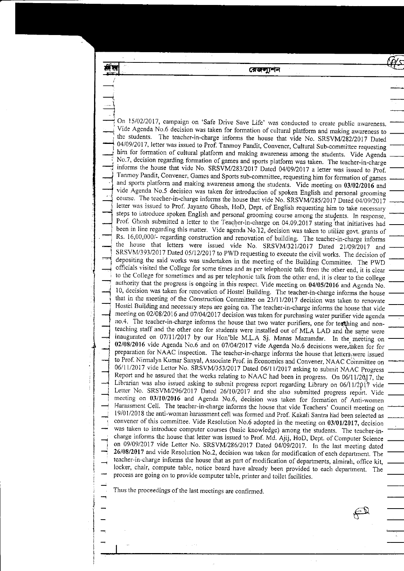রেজলাশন

.<br>-<br>-On 15/02/2017, campaign on 'Safe Drive Save Life' was conducted to create public awareness. -- Vide Agenda No.6 decision was taken for formation of cultural platform and making awareness to the students. The teacher-in-charge informs the house that vide No. SRSVM/282/2017 Dated 04/09/2017, letter was issued to Prof. Tanmoy Pandit, Convener, Cultural Sub-committee requesting<br>him for formation of cultural platform and making awareness among the students. Vide Agenda No.7, decision regarding formation of games and sports platform was taken. The teacher-in-charge informs the house that vide No. SRSVM/283/2017 Dated 04/09/2017 a letter was issued to Prof. Tanmoy Pandit, Convener, Games and Sports sub-committee, requesting him for formation of games and sports platform and making awareness among the students. Vide meeting on 03/02/2016 and vide Agenda No.5 decision was taken for introduction of spoken English and personal grooming course. The teacher-in-charge informs the house that vide No. SRSVM/285/2017 Dated 04/09/2017 letter was issued to Prof. Jayanto Ghosh, HoD, Dept. of English requesting him to take necessary steps to introduce spoken English and personal grooming course among the students. In response, Prof. Ghosh submitted a letter to the Teacher-in-charge on 04.09.2017 stating that initiatives had been in line regarding this matter. Vide agenda No.12, decision was taken to utilize govt. grants of Rs. 16,00,000/- regarding construction and renovation of building. The teacher-in-charge informs the house that letters were issued vide No. SRSVM/321/2017 Dated 21/09/2017 and SRSVM/393/2017 Dated 05/12/2017 to PWD requesting to execute the civil works. The decision of depositing the said works was undertaken in the meeting of the Building committee. The pwD to the College for sometimes and as per telephonic talk from the other end, it is clear to the college<br>authority that the progress is ongoing in this respect. Vide meeting on 04/05/2016 and Agenda No.<br>10, decision was take that in the meeting of the Construction Committee on 23/11/2017 decision was taken to renovate Hostel Building and necessary steps are going on. The teacher-in-charge informs the house that vide meeting on 02/08/2016 and 07/04/2017 decision was taken for purchasing water purifier vide agenda no.4. The teacher-in-charge informs the house that two water purifiers, one for teaching and nonteaching staff and the other one for students were installed out of MLA LAD and the same were inaugurated on 07/11/2017 by our Hon'ble M.L.A Sj. Manas Mazumdar. In the meeting on 02/08/2016 vide Agenda No.6 and on 07/04/2017 vide Agenda No.6 decisions were taken for for<br>preparation for NAAC inspection. The teacher-in-charge informs the house that letters, were issued to Prof. Nirmalya Kumar Sanyal, Associate Prof. in Economics and Convener, NAAC Committee on 06/11/2017 vide Letter No. SRSVM/353/2017 Dated 06/11/2017 asking to submit NAAC Progress Report and he assured that the works relating to NAAC had been in progress. On 06/11/2017, the Librarian was also issued asking to submit progress report regarding Library on 06/11/2017 vide Letter No. SRSVM/296/2017 Dated 26/10/2017 and she also submitted progress report. Vide<br>meeting on 03/10/2016 and Agenda No.6, decision was taken for formation of Anti-women  $\mathcal{L}^*$ Harassment Cell. The teacher-in-charge informs the house that vide Teachers' Council meeting on 19/01/2018 the anti-woman harassment cell was formed and Prof. Kakali Santra had been selected as convener of this committee. Vide Resolution No.6 adopted in the meeting on 03/01/2017, decision was taken to introduce computer courses (basic knowledge) among the students. The teacher-in-<br>charge informs the house that letter was issued to Prof. Md. Ajij, HoD, Dept. of Computer Science on 09/09/2017 vide Letter No. SRSVM/286/2017 Dated 04/09/2017. In the last meeting dated  $\rightarrow$  26/08/2017 and vide Resolution No.2, decision was taken for modification of each department. The teacher-in-charge informs the house that as part of modification of departments, almirah, office kit, locker, chair, compute table, notice board have already been provided to each department. The process are going on to provide computer table, printer and toilet facilities.

 $-$ 

Thus the proceedings of the last meetings are confirmed.

 $\rightarrow$ ,,- ,|  $\Rightarrow$ 

ж٣

-

-

I